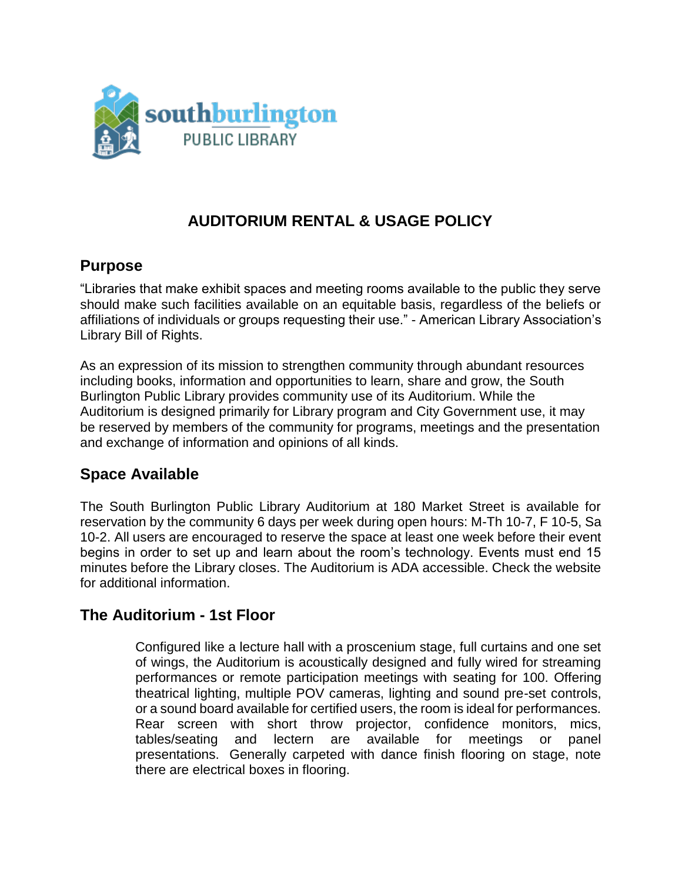

# **AUDITORIUM RENTAL & USAGE POLICY**

### **Purpose**

"Libraries that make exhibit spaces and meeting rooms available to the public they serve should make such facilities available on an equitable basis, regardless of the beliefs or affiliations of individuals or groups requesting their use." - American Library Association's Library Bill of Rights.

As an expression of its mission to strengthen community through abundant resources including books, information and opportunities to learn, share and grow, the South Burlington Public Library provides community use of its Auditorium. While the Auditorium is designed primarily for Library program and City Government use, it may be reserved by members of the community for programs, meetings and the presentation and exchange of information and opinions of all kinds.

### **Space Available**

The South Burlington Public Library Auditorium at 180 Market Street is available for reservation by the community 6 days per week during open hours: M-Th 10-7, F 10-5, Sa 10-2. All users are encouraged to reserve the space at least one week before their event begins in order to set up and learn about the room's technology. Events must end 15 minutes before the Library closes. The Auditorium is ADA accessible. Check the website for additional information.

### **The Auditorium - 1st Floor**

Configured like a lecture hall with a proscenium stage, full curtains and one set of wings, the Auditorium is acoustically designed and fully wired for streaming performances or remote participation meetings with seating for 100. Offering theatrical lighting, multiple POV cameras, lighting and sound pre-set controls, or a sound board available for certified users, the room is ideal for performances. Rear screen with short throw projector, confidence monitors, mics, tables/seating and lectern are available for meetings or panel presentations. Generally carpeted with dance finish flooring on stage, note there are electrical boxes in flooring.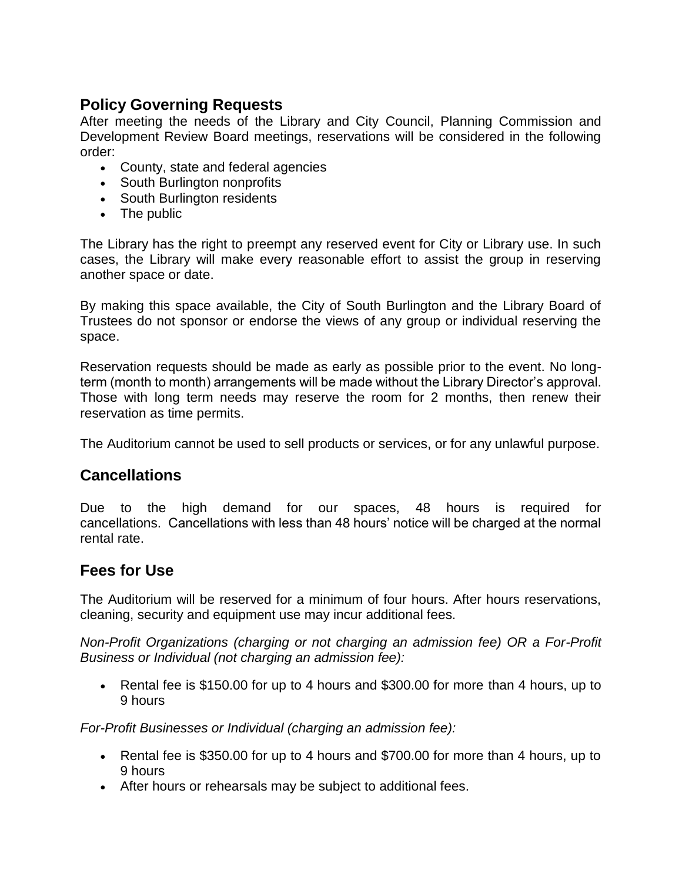# **Policy Governing Requests**

After meeting the needs of the Library and City Council, Planning Commission and Development Review Board meetings, reservations will be considered in the following order:

- County, state and federal agencies
- South Burlington nonprofits
- South Burlington residents
- The public

The Library has the right to preempt any reserved event for City or Library use. In such cases, the Library will make every reasonable effort to assist the group in reserving another space or date.

By making this space available, the City of South Burlington and the Library Board of Trustees do not sponsor or endorse the views of any group or individual reserving the space.

Reservation requests should be made as early as possible prior to the event. No longterm (month to month) arrangements will be made without the Library Director's approval. Those with long term needs may reserve the room for 2 months, then renew their reservation as time permits.

The Auditorium cannot be used to sell products or services, or for any unlawful purpose.

# **Cancellations**

Due to the high demand for our spaces, 48 hours is required for cancellations. Cancellations with less than 48 hours' notice will be charged at the normal rental rate.

# **Fees for Use**

The Auditorium will be reserved for a minimum of four hours. After hours reservations, cleaning, security and equipment use may incur additional fees.

*Non-Profit Organizations (charging or not charging an admission fee) OR a For-Profit Business or Individual (not charging an admission fee):*

• Rental fee is \$150.00 for up to 4 hours and \$300.00 for more than 4 hours, up to 9 hours

*For-Profit Businesses or Individual (charging an admission fee):*

- Rental fee is \$350.00 for up to 4 hours and \$700.00 for more than 4 hours, up to 9 hours
- After hours or rehearsals may be subject to additional fees.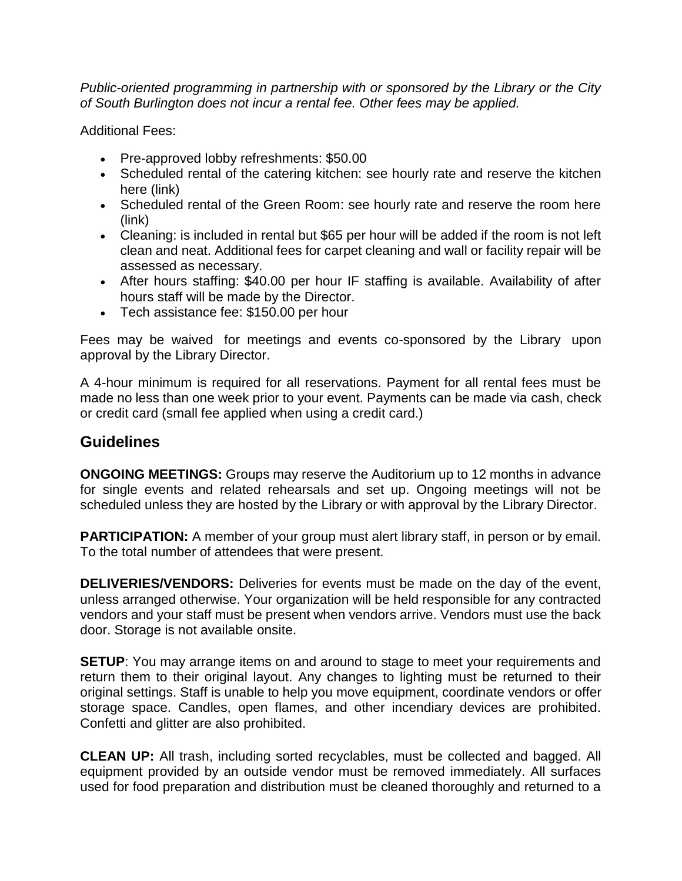*Public-oriented programming in partnership with or sponsored by the Library or the City of South Burlington does not incur a rental fee. Other fees may be applied.*

Additional Fees:

- Pre-approved lobby refreshments: \$50.00
- Scheduled rental of the catering kitchen: see hourly rate and reserve the kitchen here (link)
- Scheduled rental of the Green Room: see hourly rate and reserve the room here (link)
- Cleaning: is included in rental but \$65 per hour will be added if the room is not left clean and neat. Additional fees for carpet cleaning and wall or facility repair will be assessed as necessary.
- After hours staffing: \$40.00 per hour IF staffing is available. Availability of after hours staff will be made by the Director.
- Tech assistance fee: \$150.00 per hour

Fees may be waived for meetings and events co-sponsored by the Library upon approval by the Library Director.

A 4-hour minimum is required for all reservations. Payment for all rental fees must be made no less than one week prior to your event. Payments can be made via cash, check or credit card (small fee applied when using a credit card.)

### **Guidelines**

**ONGOING MEETINGS:** Groups may reserve the Auditorium up to 12 months in advance for single events and related rehearsals and set up. Ongoing meetings will not be scheduled unless they are hosted by the Library or with approval by the Library Director.

**PARTICIPATION:** A member of your group must alert library staff, in person or by email. To the total number of attendees that were present.

**DELIVERIES/VENDORS:** Deliveries for events must be made on the day of the event, unless arranged otherwise. Your organization will be held responsible for any contracted vendors and your staff must be present when vendors arrive. Vendors must use the back door. Storage is not available onsite.

**SETUP:** You may arrange items on and around to stage to meet your requirements and return them to their original layout. Any changes to lighting must be returned to their original settings. Staff is unable to help you move equipment, coordinate vendors or offer storage space. Candles, open flames, and other incendiary devices are prohibited. Confetti and glitter are also prohibited.

**CLEAN UP:** All trash, including sorted recyclables, must be collected and bagged. All equipment provided by an outside vendor must be removed immediately. All surfaces used for food preparation and distribution must be cleaned thoroughly and returned to a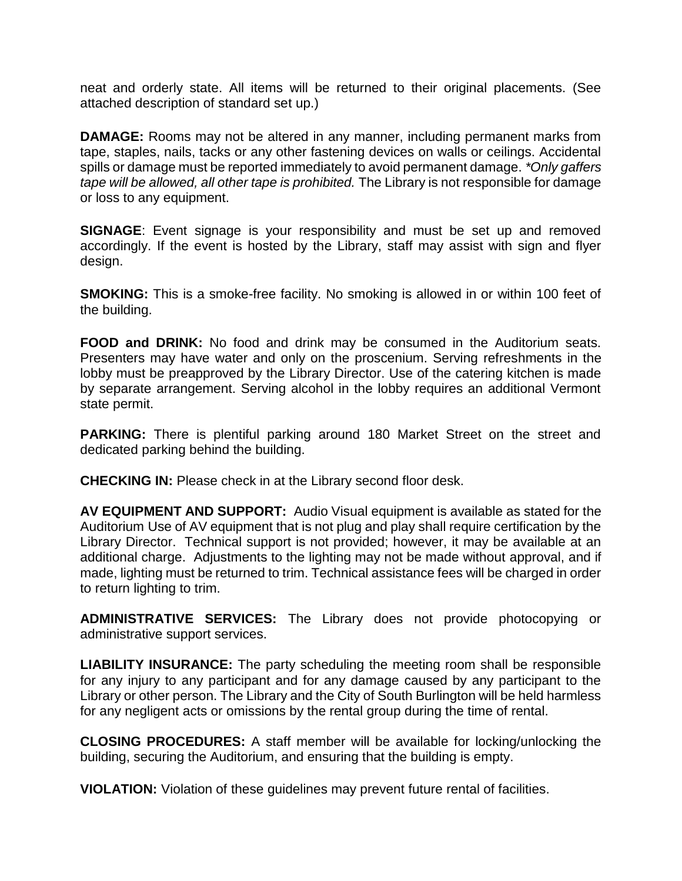neat and orderly state. All items will be returned to their original placements. (See attached description of standard set up.)

**DAMAGE:** Rooms may not be altered in any manner, including permanent marks from tape, staples, nails, tacks or any other fastening devices on walls or ceilings. Accidental spills or damage must be reported immediately to avoid permanent damage. *\*Only gaffers tape will be allowed, all other tape is prohibited.* The Library is not responsible for damage or loss to any equipment.

**SIGNAGE:** Event signage is your responsibility and must be set up and removed accordingly. If the event is hosted by the Library, staff may assist with sign and flyer design.

**SMOKING:** This is a smoke-free facility. No smoking is allowed in or within 100 feet of the building.

**FOOD and DRINK:** No food and drink may be consumed in the Auditorium seats. Presenters may have water and only on the proscenium. Serving refreshments in the lobby must be preapproved by the Library Director. Use of the catering kitchen is made by separate arrangement. Serving alcohol in the lobby requires an additional Vermont state permit.

**PARKING:** There is plentiful parking around 180 Market Street on the street and dedicated parking behind the building.

**CHECKING IN:** Please check in at the Library second floor desk.

**AV EQUIPMENT AND SUPPORT:** Audio Visual equipment is available as stated for the Auditorium Use of AV equipment that is not plug and play shall require certification by the Library Director. Technical support is not provided; however, it may be available at an additional charge. Adjustments to the lighting may not be made without approval, and if made, lighting must be returned to trim. Technical assistance fees will be charged in order to return lighting to trim.

**ADMINISTRATIVE SERVICES:** The Library does not provide photocopying or administrative support services.

**LIABILITY INSURANCE:** The party scheduling the meeting room shall be responsible for any injury to any participant and for any damage caused by any participant to the Library or other person. The Library and the City of South Burlington will be held harmless for any negligent acts or omissions by the rental group during the time of rental.

**CLOSING PROCEDURES:** A staff member will be available for locking/unlocking the building, securing the Auditorium, and ensuring that the building is empty.

**VIOLATION:** Violation of these guidelines may prevent future rental of facilities.